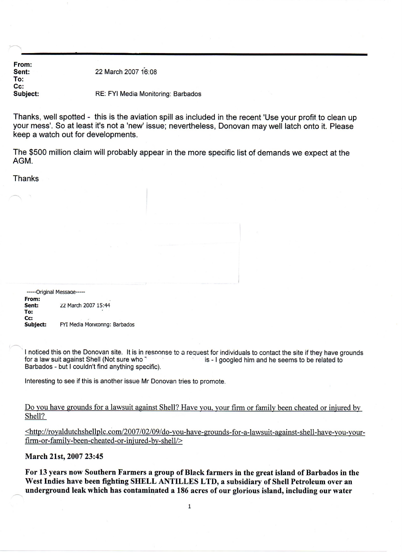From: Sent: To: Cc: Subject: 22 March 200716:08 RE: FYI Media Monitoring: Barbados

Thanks, well spotted - this is the aviation spill as included in the recent 'Use your profit to clean up your mess'. So at least it's not a 'new' issue; nevertheless, Donovan may well latch onto it. Please keep a watch out for developments.

The \$500 million claim will probably appear in the more specific list of demands we expect at the AGM.

**Thanks** 

-----Original Message-----From: 22 March 2007 15:44 To: Cc:<br>Subject: FYI Media Monitoring: Barbados

I noticed this on the Donovan site. It is in response to a request for individuals to contact the site if they have grounds for a law suit against Shell (Not sure who <sup>-</sup><br>is - I goodled him and he seems to be related to is - I googled him and he seems to be related to Barbados - but I couldn't find anything specific).

Interesting to see if this is another issue Mr Donovan tries to promote.

Do you have grounds for a lawsuit against Shell? Have you. your firm or family been cheated or injured by Shell?

<http://royaldutchshellplc.com/2007 /02/09/ do-you- have-grounds- for-a-lawsuit -against-shell-have- you-yourfirm -or-family-been-cheated -or-injured -by-shell/>

March 21st, 2007 23:45

~

For 13 years now Southern Farmers a group of Black farmers in the great island of Barbados in the West Indies have been fighting SHELL ANTILLES LTD, a subsidiary of Shell Petroleum over an underground leak which has contaminated a 186 acres of our glorious island, including our water